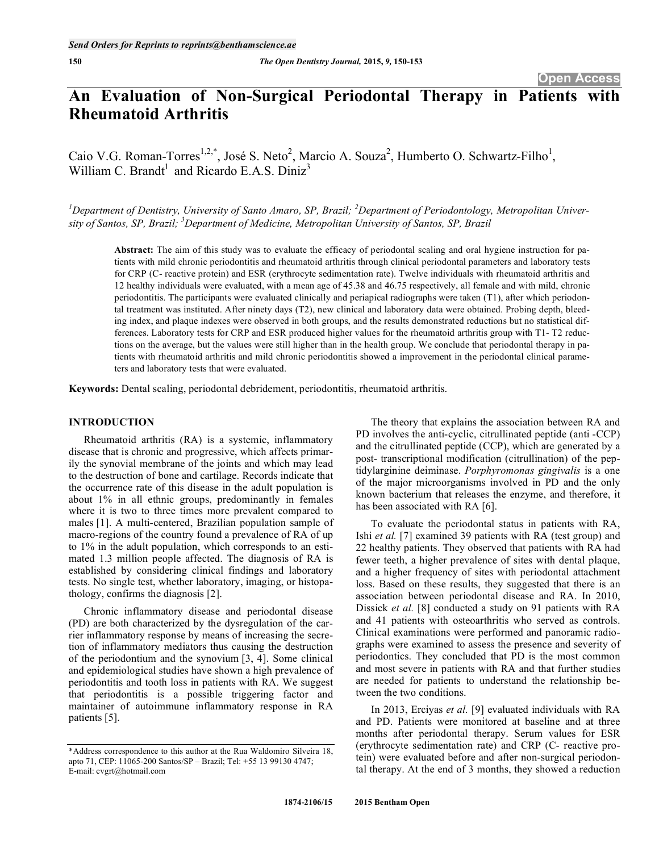# **An Evaluation of Non-Surgical Periodontal Therapy in Patients with Rheumatoid Arthritis**

Caio V.G. Roman-Torres<sup>1,2,\*</sup>, José S. Neto<sup>2</sup>, Marcio A. Souza<sup>2</sup>, Humberto O. Schwartz-Filho<sup>1</sup>, William C. Brandt<sup>1</sup> and Ricardo E.A.S. Diniz<sup>3</sup>

*1 Department of Dentistry, University of Santo Amaro, SP, Brazil; <sup>2</sup> Department of Periodontology, Metropolitan University of Santos, SP, Brazil; 3 Department of Medicine, Metropolitan University of Santos, SP, Brazil* 

**Abstract:** The aim of this study was to evaluate the efficacy of periodontal scaling and oral hygiene instruction for patients with mild chronic periodontitis and rheumatoid arthritis through clinical periodontal parameters and laboratory tests for CRP (C- reactive protein) and ESR (erythrocyte sedimentation rate). Twelve individuals with rheumatoid arthritis and 12 healthy individuals were evaluated, with a mean age of 45.38 and 46.75 respectively, all female and with mild, chronic periodontitis. The participants were evaluated clinically and periapical radiographs were taken (T1), after which periodontal treatment was instituted. After ninety days (T2), new clinical and laboratory data were obtained. Probing depth, bleeding index, and plaque indexes were observed in both groups, and the results demonstrated reductions but no statistical differences. Laboratory tests for CRP and ESR produced higher values for the rheumatoid arthritis group with T1- T2 reductions on the average, but the values were still higher than in the health group. We conclude that periodontal therapy in patients with rheumatoid arthritis and mild chronic periodontitis showed a improvement in the periodontal clinical parameters and laboratory tests that were evaluated.

**Keywords:** Dental scaling, periodontal debridement, periodontitis, rheumatoid arthritis.

# **INTRODUCTION**

Rheumatoid arthritis (RA) is a systemic, inflammatory disease that is chronic and progressive, which affects primarily the synovial membrane of the joints and which may lead to the destruction of bone and cartilage. Records indicate that the occurrence rate of this disease in the adult population is about 1% in all ethnic groups, predominantly in females where it is two to three times more prevalent compared to males [1]. A multi-centered, Brazilian population sample of macro-regions of the country found a prevalence of RA of up to 1% in the adult population, which corresponds to an estimated 1.3 million people affected. The diagnosis of RA is established by considering clinical findings and laboratory tests. No single test, whether laboratory, imaging, or histopathology, confirms the diagnosis [2].

Chronic inflammatory disease and periodontal disease (PD) are both characterized by the dysregulation of the carrier inflammatory response by means of increasing the secretion of inflammatory mediators thus causing the destruction of the periodontium and the synovium [3, 4]. Some clinical and epidemiological studies have shown a high prevalence of periodontitis and tooth loss in patients with RA. We suggest that periodontitis is a possible triggering factor and maintainer of autoimmune inflammatory response in RA patients [5].

The theory that explains the association between RA and PD involves the anti-cyclic, citrullinated peptide (anti -CCP) and the citrullinated peptide (CCP), which are generated by a post- transcriptional modification (citrullination) of the peptidylarginine deiminase. *Porphyromonas gingivalis* is a one of the major microorganisms involved in PD and the only known bacterium that releases the enzyme, and therefore, it has been associated with RA [6].

To evaluate the periodontal status in patients with RA, Ishi *et al.* [7] examined 39 patients with RA (test group) and 22 healthy patients. They observed that patients with RA had fewer teeth, a higher prevalence of sites with dental plaque, and a higher frequency of sites with periodontal attachment loss. Based on these results, they suggested that there is an association between periodontal disease and RA. In 2010, Dissick *et al.* [8] conducted a study on 91 patients with RA and 41 patients with osteoarthritis who served as controls. Clinical examinations were performed and panoramic radiographs were examined to assess the presence and severity of periodontics. They concluded that PD is the most common and most severe in patients with RA and that further studies are needed for patients to understand the relationship between the two conditions.

In 2013, Erciyas *et al.* [9] evaluated individuals with RA and PD. Patients were monitored at baseline and at three months after periodontal therapy. Serum values for ESR (erythrocyte sedimentation rate) and CRP (C- reactive protein) were evaluated before and after non-surgical periodontal therapy. At the end of 3 months, they showed a reduction

<sup>\*</sup>Address correspondence to this author at the Rua Waldomiro Silveira 18, apto 71, CEP: 11065-200 Santos/SP – Brazil; Tel: +55 13 99130 4747; E-mail: cvgrt@hotmail.com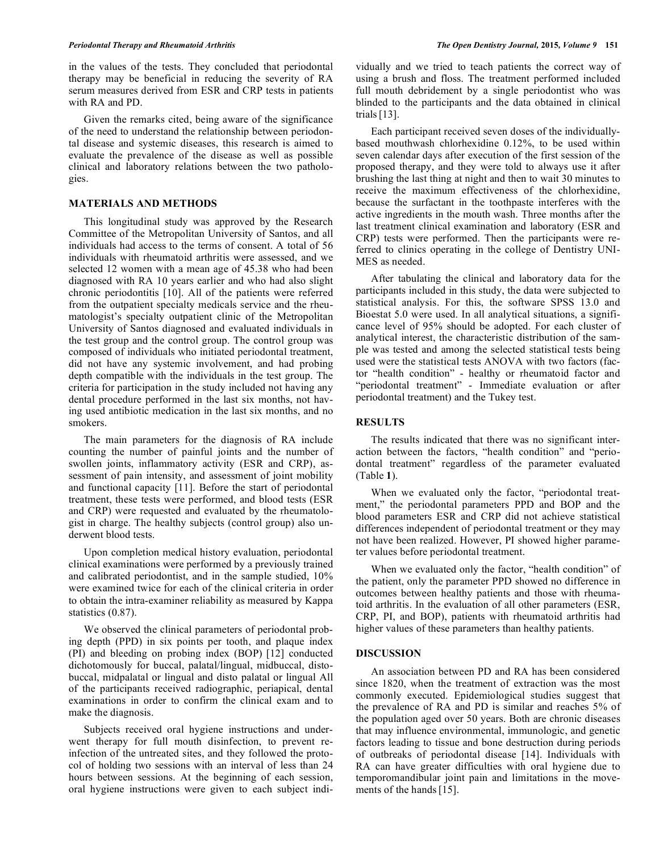in the values of the tests. They concluded that periodontal therapy may be beneficial in reducing the severity of RA serum measures derived from ESR and CRP tests in patients with RA and PD.

Given the remarks cited, being aware of the significance of the need to understand the relationship between periodontal disease and systemic diseases, this research is aimed to evaluate the prevalence of the disease as well as possible clinical and laboratory relations between the two pathologies.

### **MATERIALS AND METHODS**

This longitudinal study was approved by the Research Committee of the Metropolitan University of Santos, and all individuals had access to the terms of consent. A total of 56 individuals with rheumatoid arthritis were assessed, and we selected 12 women with a mean age of 45.38 who had been diagnosed with RA 10 years earlier and who had also slight chronic periodontitis [10]. All of the patients were referred from the outpatient specialty medicals service and the rheumatologist's specialty outpatient clinic of the Metropolitan University of Santos diagnosed and evaluated individuals in the test group and the control group. The control group was composed of individuals who initiated periodontal treatment, did not have any systemic involvement, and had probing depth compatible with the individuals in the test group. The criteria for participation in the study included not having any dental procedure performed in the last six months, not having used antibiotic medication in the last six months, and no smokers.

The main parameters for the diagnosis of RA include counting the number of painful joints and the number of swollen joints, inflammatory activity (ESR and CRP), assessment of pain intensity, and assessment of joint mobility and functional capacity [11]. Before the start of periodontal treatment, these tests were performed, and blood tests (ESR and CRP) were requested and evaluated by the rheumatologist in charge. The healthy subjects (control group) also underwent blood tests.

Upon completion medical history evaluation, periodontal clinical examinations were performed by a previously trained and calibrated periodontist, and in the sample studied, 10% were examined twice for each of the clinical criteria in order to obtain the intra-examiner reliability as measured by Kappa statistics (0.87).

We observed the clinical parameters of periodontal probing depth (PPD) in six points per tooth, and plaque index (PI) and bleeding on probing index (BOP) [12] conducted dichotomously for buccal, palatal/lingual, midbuccal, distobuccal, midpalatal or lingual and disto palatal or lingual All of the participants received radiographic, periapical, dental examinations in order to confirm the clinical exam and to make the diagnosis.

Subjects received oral hygiene instructions and underwent therapy for full mouth disinfection, to prevent reinfection of the untreated sites, and they followed the protocol of holding two sessions with an interval of less than 24 hours between sessions. At the beginning of each session, oral hygiene instructions were given to each subject individually and we tried to teach patients the correct way of using a brush and floss. The treatment performed included full mouth debridement by a single periodontist who was blinded to the participants and the data obtained in clinical trials[13].

Each participant received seven doses of the individuallybased mouthwash chlorhexidine 0.12%, to be used within seven calendar days after execution of the first session of the proposed therapy, and they were told to always use it after brushing the last thing at night and then to wait 30 minutes to receive the maximum effectiveness of the chlorhexidine, because the surfactant in the toothpaste interferes with the active ingredients in the mouth wash. Three months after the last treatment clinical examination and laboratory (ESR and CRP) tests were performed. Then the participants were referred to clinics operating in the college of Dentistry UNI-MES as needed.

After tabulating the clinical and laboratory data for the participants included in this study, the data were subjected to statistical analysis. For this, the software SPSS 13.0 and Bioestat 5.0 were used. In all analytical situations, a significance level of 95% should be adopted. For each cluster of analytical interest, the characteristic distribution of the sample was tested and among the selected statistical tests being used were the statistical tests ANOVA with two factors (factor "health condition" - healthy or rheumatoid factor and "periodontal treatment" - Immediate evaluation or after periodontal treatment) and the Tukey test.

# **RESULTS**

The results indicated that there was no significant interaction between the factors, "health condition" and "periodontal treatment" regardless of the parameter evaluated (Table **1**).

When we evaluated only the factor, "periodontal treatment," the periodontal parameters PPD and BOP and the blood parameters ESR and CRP did not achieve statistical differences independent of periodontal treatment or they may not have been realized. However, PI showed higher parameter values before periodontal treatment.

When we evaluated only the factor, "health condition" of the patient, only the parameter PPD showed no difference in outcomes between healthy patients and those with rheumatoid arthritis. In the evaluation of all other parameters (ESR, CRP, PI, and BOP), patients with rheumatoid arthritis had higher values of these parameters than healthy patients.

#### **DISCUSSION**

An association between PD and RA has been considered since 1820, when the treatment of extraction was the most commonly executed. Epidemiological studies suggest that the prevalence of RA and PD is similar and reaches 5% of the population aged over 50 years. Both are chronic diseases that may influence environmental, immunologic, and genetic factors leading to tissue and bone destruction during periods of outbreaks of periodontal disease [14]. Individuals with RA can have greater difficulties with oral hygiene due to temporomandibular joint pain and limitations in the movements of the hands [15].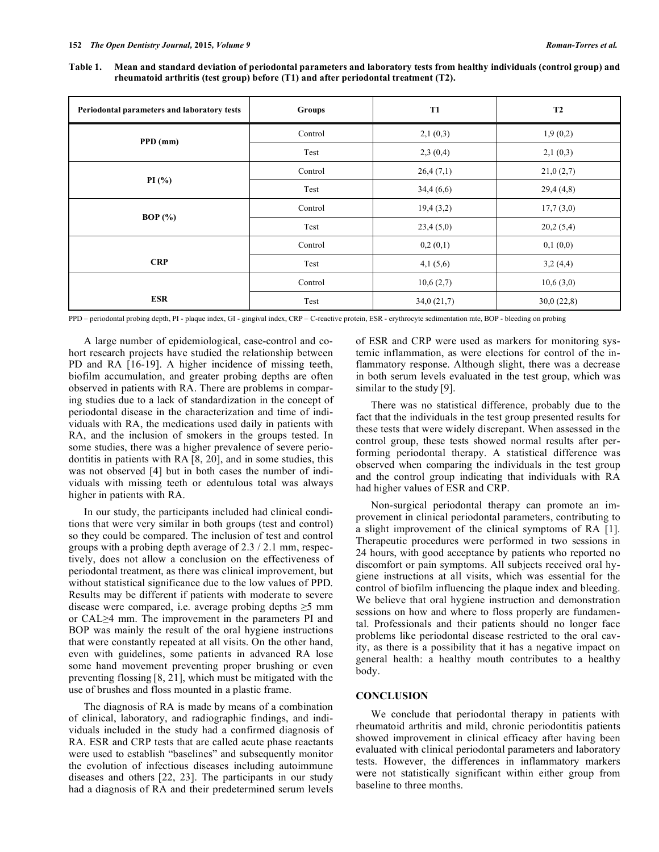| Table 1. Mean and standard deviation of periodontal parameters and laboratory tests from healthy individuals (control group) and |
|----------------------------------------------------------------------------------------------------------------------------------|
| rheumatoid arthritis (test group) before (T1) and after periodontal treatment (T2).                                              |

| Periodontal parameters and laboratory tests | <b>Groups</b> | <b>T1</b>  | <b>T2</b>  |
|---------------------------------------------|---------------|------------|------------|
| $PPD$ (mm)                                  | Control       | 2,1(0,3)   | 1,9(0,2)   |
|                                             | Test          | 2,3(0,4)   | 2,1(0,3)   |
|                                             | Control       | 26,4(7,1)  | 21,0(2,7)  |
| PI $(\%$                                    | Test          | 34,4(6,6)  | 29,4(4,8)  |
|                                             | Control       | 19,4(3,2)  | 17,7(3,0)  |
| BOP $(\% )$                                 | Test          | 23,4(5,0)  | 20,2(5,4)  |
|                                             | Control       | 0,2(0,1)   | 0,1(0,0)   |
| <b>CRP</b>                                  | Test          | 4,1(5,6)   | 3,2(4,4)   |
|                                             | Control       | 10,6(2,7)  | 10,6(3,0)  |
| <b>ESR</b>                                  | Test          | 34,0(21,7) | 30,0(22,8) |

PPD – periodontal probing depth, PI - plaque index, GI - gingival index, CRP – C-reactive protein, ESR - erythrocyte sedimentation rate, BOP - bleeding on probing

A large number of epidemiological, case-control and cohort research projects have studied the relationship between PD and RA [16-19]. A higher incidence of missing teeth, biofilm accumulation, and greater probing depths are often observed in patients with RA. There are problems in comparing studies due to a lack of standardization in the concept of periodontal disease in the characterization and time of individuals with RA, the medications used daily in patients with RA, and the inclusion of smokers in the groups tested. In some studies, there was a higher prevalence of severe periodontitis in patients with RA [8, 20], and in some studies, this was not observed [4] but in both cases the number of individuals with missing teeth or edentulous total was always higher in patients with RA.

In our study, the participants included had clinical conditions that were very similar in both groups (test and control) so they could be compared. The inclusion of test and control groups with a probing depth average of 2.3 / 2.1 mm, respectively, does not allow a conclusion on the effectiveness of periodontal treatment, as there was clinical improvement, but without statistical significance due to the low values of PPD. Results may be different if patients with moderate to severe disease were compared, i.e. average probing depths  $\geq 5$  mm or  $CAL \geq 4$  mm. The improvement in the parameters PI and BOP was mainly the result of the oral hygiene instructions that were constantly repeated at all visits. On the other hand, even with guidelines, some patients in advanced RA lose some hand movement preventing proper brushing or even preventing flossing [8, 21], which must be mitigated with the use of brushes and floss mounted in a plastic frame.

The diagnosis of RA is made by means of a combination of clinical, laboratory, and radiographic findings, and individuals included in the study had a confirmed diagnosis of RA. ESR and CRP tests that are called acute phase reactants were used to establish "baselines" and subsequently monitor the evolution of infectious diseases including autoimmune diseases and others [22, 23]. The participants in our study had a diagnosis of RA and their predetermined serum levels

of ESR and CRP were used as markers for monitoring systemic inflammation, as were elections for control of the inflammatory response. Although slight, there was a decrease in both serum levels evaluated in the test group, which was similar to the study [9].

There was no statistical difference, probably due to the fact that the individuals in the test group presented results for these tests that were widely discrepant. When assessed in the control group, these tests showed normal results after performing periodontal therapy. A statistical difference was observed when comparing the individuals in the test group and the control group indicating that individuals with RA had higher values of ESR and CRP.

Non-surgical periodontal therapy can promote an improvement in clinical periodontal parameters, contributing to a slight improvement of the clinical symptoms of RA [1]. Therapeutic procedures were performed in two sessions in 24 hours, with good acceptance by patients who reported no discomfort or pain symptoms. All subjects received oral hygiene instructions at all visits, which was essential for the control of biofilm influencing the plaque index and bleeding. We believe that oral hygiene instruction and demonstration sessions on how and where to floss properly are fundamental. Professionals and their patients should no longer face problems like periodontal disease restricted to the oral cavity, as there is a possibility that it has a negative impact on general health: a healthy mouth contributes to a healthy body.

## **CONCLUSION**

We conclude that periodontal therapy in patients with rheumatoid arthritis and mild, chronic periodontitis patients showed improvement in clinical efficacy after having been evaluated with clinical periodontal parameters and laboratory tests. However, the differences in inflammatory markers were not statistically significant within either group from baseline to three months.